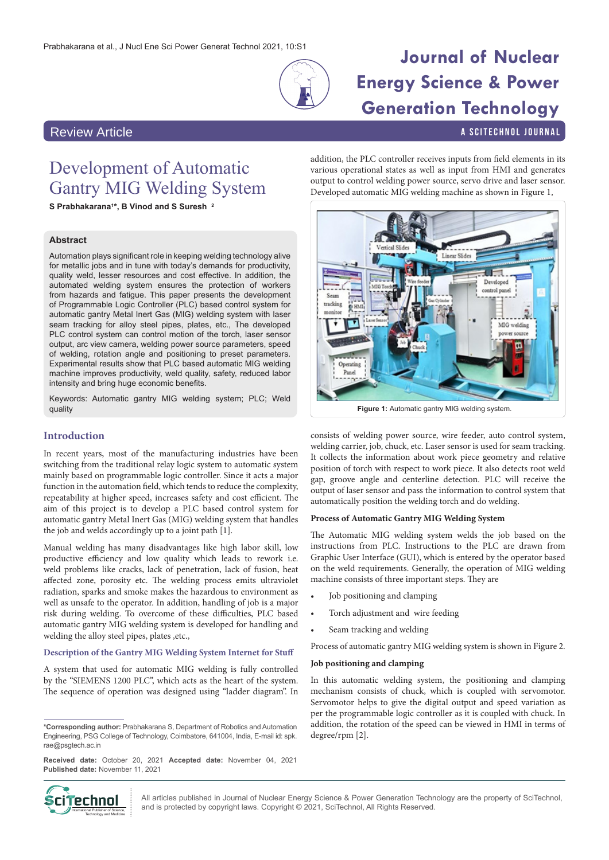

# **Journal of Nuclear Energy Science & Power Generation Technology**

a SciTechnol journal

# Review Article

# Development of Automatic Gantry MIG Welding System

**S Prabhakarana1\*, B Vinod and S Suresh <sup>2</sup>**

# **Abstract**

Automation plays significant role in keeping welding technology alive for metallic jobs and in tune with today's demands for productivity, quality weld, lesser resources and cost effective. In addition, the automated welding system ensures the protection of workers from hazards and fatigue. This paper presents the development of Programmable Logic Controller (PLC) based control system for automatic gantry Metal Inert Gas (MIG) welding system with laser seam tracking for alloy steel pipes, plates, etc., The developed PLC control system can control motion of the torch, laser sensor output, arc view camera, welding power source parameters, speed of welding, rotation angle and positioning to preset parameters. Experimental results show that PLC based automatic MIG welding machine improves productivity, weld quality, safety, reduced labor intensity and bring huge economic benefits.

Keywords: Automatic gantry MIG welding system; PLC; Weld quality

## **Introduction**

In recent years, most of the manufacturing industries have been switching from the traditional relay logic system to automatic system mainly based on programmable logic controller. Since it acts a major function in the automation field, which tends to reduce the complexity, repeatability at higher speed, increases safety and cost efficient. The aim of this project is to develop a PLC based control system for automatic gantry Metal Inert Gas (MIG) welding system that handles the job and welds accordingly up to a joint path [1].

Manual welding has many disadvantages like high labor skill, low productive efficiency and low quality which leads to rework i.e. weld problems like cracks, lack of penetration, lack of fusion, heat affected zone, porosity etc. The welding process emits ultraviolet radiation, sparks and smoke makes the hazardous to environment as well as unsafe to the operator. In addition, handling of job is a major risk during welding. To overcome of these difficulties, PLC based automatic gantry MIG welding system is developed for handling and welding the alloy steel pipes, plates ,etc.,

### **Description of the Gantry MIG Welding System Internet for Stuff**

A system that used for automatic MIG welding is fully controlled by the "SIEMENS 1200 PLC", which acts as the heart of the system. The sequence of operation was designed using "ladder diagram". In

**\*Corresponding author:** Prabhakarana S, Department of Robotics and Automation Engineering, PSG College of Technology, Coimbatore, 641004, India, E-mail id: spk. rae@psgtech.ac.in

**Received date:** October 20, 2021 **Accepted date:** November 04, 2021 **Published date:** November 11, 2021



All articles published in Journal of Nuclear Energy Science & Power Generation Technology are the property of SciTechnol, **if PECHING!** All articles published in Journal of Nuclear Energy Science & Power Generation Techn<br>Mintenational Publisher of Science, and is protected by copyright laws. Copyright © 2021, SciTechnol, All Rights Reserved.

addition, the PLC controller receives inputs from field elements in its various operational states as well as input from HMI and generates output to control welding power source, servo drive and laser sensor. Developed automatic MIG welding machine as shown in Figure 1,



consists of welding power source, wire feeder, auto control system, welding carrier, job, chuck, etc. Laser sensor is used for seam tracking. It collects the information about work piece geometry and relative position of torch with respect to work piece. It also detects root weld gap, groove angle and centerline detection. PLC will receive the output of laser sensor and pass the information to control system that automatically position the welding torch and do welding.

## **Process of Automatic Gantry MIG Welding System**

The Automatic MIG welding system welds the job based on the instructions from PLC. Instructions to the PLC are drawn from Graphic User Interface (GUI), which is entered by the operator based on the weld requirements. Generally, the operation of MIG welding machine consists of three important steps. They are

- Job positioning and clamping
- Torch adjustment and wire feeding
- Seam tracking and welding

Process of automatic gantry MIG welding system is shown in Figure 2.

## **Job positioning and clamping**

In this automatic welding system, the positioning and clamping mechanism consists of chuck, which is coupled with servomotor. Servomotor helps to give the digital output and speed variation as per the programmable logic controller as it is coupled with chuck. In addition, the rotation of the speed can be viewed in HMI in terms of degree/rpm [2].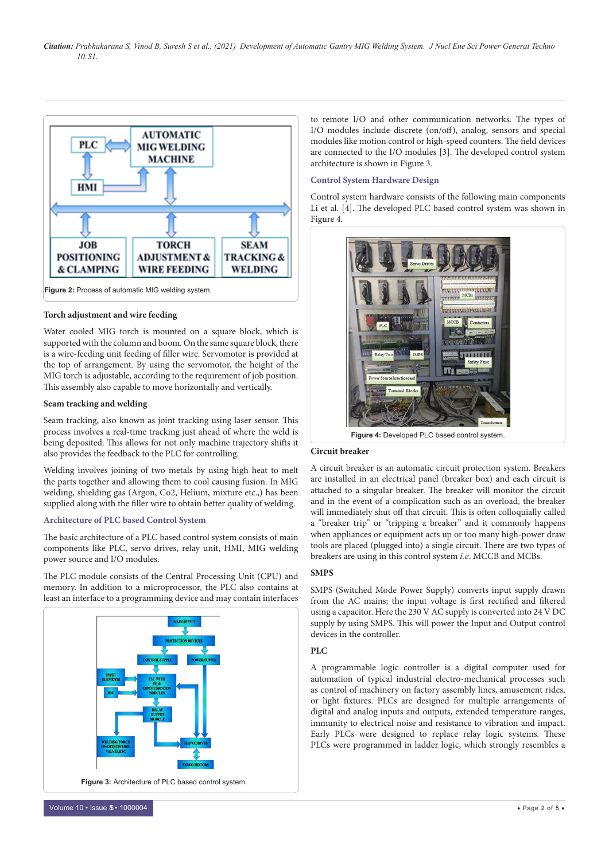

#### **Torch adjustment and wire feeding**

Water cooled MIG torch is mounted on a square block, which is supported with the column and boom. On the same square block, there is a wire-feeding unit feeding of filler wire. Servomotor is provided at the top of arrangement. By using the servomotor, the height of the MIG torch is adjustable, according to the requirement of job position. This assembly also capable to move horizontally and vertically.

#### **Seam tracking and welding**

Seam tracking, also known as joint tracking using laser sensor. This process involves a real-time tracking just ahead of where the weld is being deposited. This allows for not only machine trajectory shifts it also provides the feedback to the PLC for controlling.

Welding involves joining of two metals by using high heat to melt the parts together and allowing them to cool causing fusion. In MIG welding, shielding gas (Argon, Co2, Helium, mixture etc.,) has been supplied along with the filler wire to obtain better quality of welding.

### **Architecture of PLC based Control System**

The basic architecture of a PLC based control system consists of main components like PLC, servo drives, relay unit, HMI, MIG welding power source and I/O modules.

The PLC module consists of the Central Processing Unit (CPU) and memory. In addition to a microprocessor, the PLC also contains at least an interface to a programming device and may contain interfaces



to remote I/O and other communication networks. The types of I/O modules include discrete (on/off), analog, sensors and special modules like motion control or high-speed counters. The field devices are connected to the I/O modules [3]. The developed control system architecture is shown in Figure 3.

#### **Control System Hardware Design**

Control system hardware consists of the following main components Li et al. [4]. The developed PLC based control system was shown in Figure 4.



#### **Circuit breaker**

A circuit breaker is an automatic circuit protection system. Breakers are installed in an electrical panel (breaker box) and each circuit is attached to a singular breaker. The breaker will monitor the circuit and in the event of a complication such as an overload, the breaker will immediately shut off that circuit. This is often colloquially called a "breaker trip" or "tripping a breaker" and it commonly happens when appliances or equipment acts up or too many high-power draw tools are placed (plugged into) a single circuit. There are two types of breakers are using in this control system *i.e*. MCCB and MCBs.

#### **SMPS**

SMPS (Switched Mode Power Supply) converts input supply drawn from the AC mains; the input voltage is first rectified and filtered using a capacitor. Here the 230 V AC supply is converted into 24 V DC supply by using SMPS. This will power the Input and Output control devices in the controller.

#### $PIC$

A programmable logic controller is a digital computer used for automation of typical industrial electro-mechanical processes such as control of machinery on factory assembly lines, amusement rides, or light fixtures. PLCs are designed for multiple arrangements of digital and analog inputs and outputs, extended temperature ranges, immunity to electrical noise and resistance to vibration and impact. Early PLCs were designed to replace relay logic systems. These PLCs were programmed in ladder logic, which strongly resembles a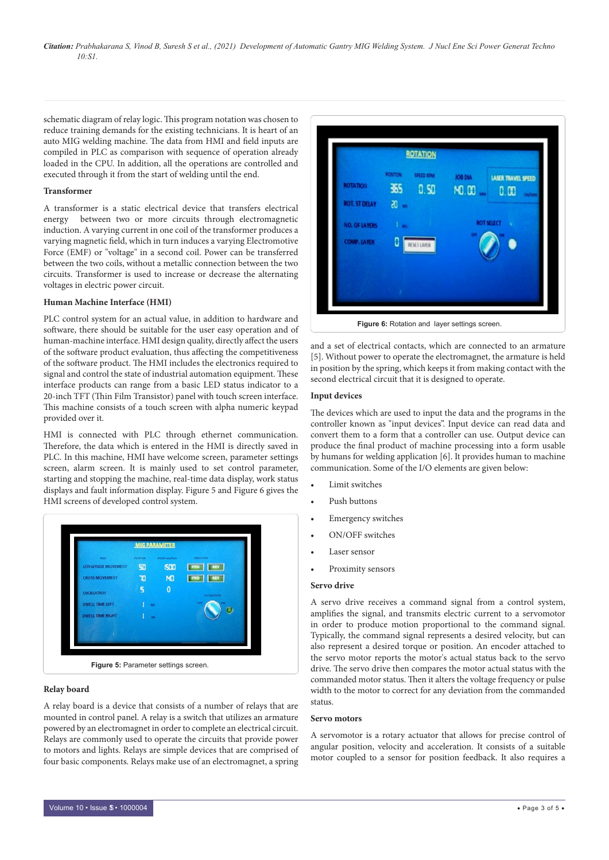schematic diagram of relay logic. This program notation was chosen to reduce training demands for the existing technicians. It is heart of an auto MIG welding machine. The data from HMI and field inputs are compiled in PLC as comparison with sequence of operation already loaded in the CPU. In addition, all the operations are controlled and executed through it from the start of welding until the end.

#### **Transformer**

A transformer is a static electrical device that transfers electrical energy between two or more circuits through electromagnetic induction. A varying current in one coil of the transformer produces a varying magnetic field, which in turn induces a varying Electromotive Force (EMF) or "voltage" in a second coil. Power can be transferred between the two coils, without a metallic connection between the two circuits. Transformer is used to increase or decrease the alternating voltages in electric power circuit.

#### **Human Machine Interface (HMI)**

PLC control system for an actual value, in addition to hardware and software, there should be suitable for the user easy operation and of human-machine interface. HMI design quality, directly affect the users of the software product evaluation, thus affecting the competitiveness of the software product. The HMI includes the electronics required to signal and control the state of industrial automation equipment. These interface products can range from a basic LED status indicator to a 20-inch TFT (Thin Film Transistor) panel with touch screen interface. This machine consists of a touch screen with alpha numeric keypad provided over it.

HMI is connected with PLC through ethernet communication. Therefore, the data which is entered in the HMI is directly saved in PLC. In this machine, HMI have welcome screen, parameter settings screen, alarm screen. It is mainly used to set control parameter, starting and stopping the machine, real-time data display, work status displays and fault information display. Figure 5 and Figure 6 gives the HMI screens of developed control system.



#### **Relay board**

A relay board is a device that consists of a number of relays that are mounted in control panel. A relay is a switch that utilizes an armature powered by an electromagnet in order to complete an electrical circuit. Relays are commonly used to operate the circuits that provide power to motors and lights. Relays are simple devices that are comprised of four basic components. Relays make use of an electromagnet, a spring



and a set of electrical contacts, which are connected to an armature [5]. Without power to operate the electromagnet, the armature is held in position by the spring, which keeps it from making contact with the second electrical circuit that it is designed to operate.

## **Input devices**

The devices which are used to input the data and the programs in the controller known as "input devices". Input device can read data and convert them to a form that a controller can use. Output device can produce the final product of machine processing into a form usable by humans for welding application [6]. It provides human to machine communication. Some of the I/O elements are given below:

- Limit switches
- Push buttons
- Emergency switches
- ON/OFF switches
- Laser sensor
- Proximity sensors

### **Servo drive**

A servo drive receives a command signal from a control system, amplifies the signal, and transmits electric current to a servomotor in order to produce motion proportional to the command signal. Typically, the command signal represents a desired velocity, but can also represent a desired torque or position. An encoder attached to the servo motor reports the motor's actual status back to the servo drive. The servo drive then compares the motor actual status with the commanded motor status. Then it alters the voltage frequency or pulse width to the motor to correct for any deviation from the commanded status.

#### **Servo motors**

A servomotor is a rotary actuator that allows for precise control of angular position, velocity and acceleration. It consists of a suitable motor coupled to a sensor for position feedback. It also requires a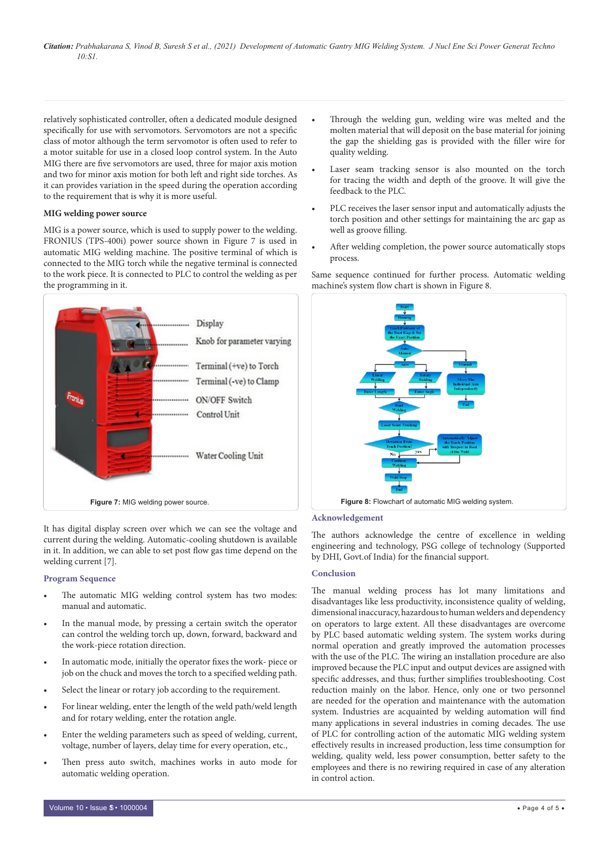relatively sophisticated controller, often a dedicated module designed specifically for use with servomotors. Servomotors are not a specific class of motor although the term servomotor is often used to refer to a motor suitable for use in a closed loop control system. In the Auto MIG there are five servomotors are used, three for major axis motion and two for minor axis motion for both left and right side torches. As it can provides variation in the speed during the operation according to the requirement that is why it is more useful.

# **MIG welding power source**

MIG is a power source, which is used to supply power to the welding. FRONIUS (TPS-400i) power source shown in Figure 7 is used in automatic MIG welding machine. The positive terminal of which is connected to the MIG torch while the negative terminal is connected to the work piece. It is connected to PLC to control the welding as per the programming in it.



It has digital display screen over which we can see the voltage and current during the welding. Automatic-cooling shutdown is available in it. In addition, we can able to set post flow gas time depend on the welding current [7].

#### **Program Sequence**

- The automatic MIG welding control system has two modes: manual and automatic.
- In the manual mode, by pressing a certain switch the operator can control the welding torch up, down, forward, backward and the work-piece rotation direction.
- In automatic mode, initially the operator fixes the work- piece or job on the chuck and moves the torch to a specified welding path.
- Select the linear or rotary job according to the requirement.
- For linear welding, enter the length of the weld path/weld length and for rotary welding, enter the rotation angle.
- Enter the welding parameters such as speed of welding, current, voltage, number of layers, delay time for every operation, etc.,
- Then press auto switch, machines works in auto mode for automatic welding operation.
- Laser seam tracking sensor is also mounted on the torch for tracing the width and depth of the groove. It will give the feedback to the PLC.
- PLC receives the laser sensor input and automatically adjusts the torch position and other settings for maintaining the arc gap as well as groove filling.
- After welding completion, the power source automatically stops process.

Same sequence continued for further process. Automatic welding machine's system flow chart is shown in Figure 8.



## **Acknowledgement**

The authors acknowledge the centre of excellence in welding engineering and technology, PSG college of technology (Supported by DHI, Govt.of India) for the financial support.

#### **Conclusion**

The manual welding process has lot many limitations and disadvantages like less productivity, inconsistence quality of welding, dimensional inaccuracy, hazardous to human welders and dependency on operators to large extent. All these disadvantages are overcome by PLC based automatic welding system. The system works during normal operation and greatly improved the automation processes with the use of the PLC. The wiring an installation procedure are also improved because the PLC input and output devices are assigned with specific addresses, and thus; further simplifies troubleshooting. Cost reduction mainly on the labor. Hence, only one or two personnel are needed for the operation and maintenance with the automation system. Industries are acquainted by welding automation will find many applications in several industries in coming decades. The use of PLC for controlling action of the automatic MIG welding system effectively results in increased production, less time consumption for welding, quality weld, less power consumption, better safety to the employees and there is no rewiring required in case of any alteration in control action.